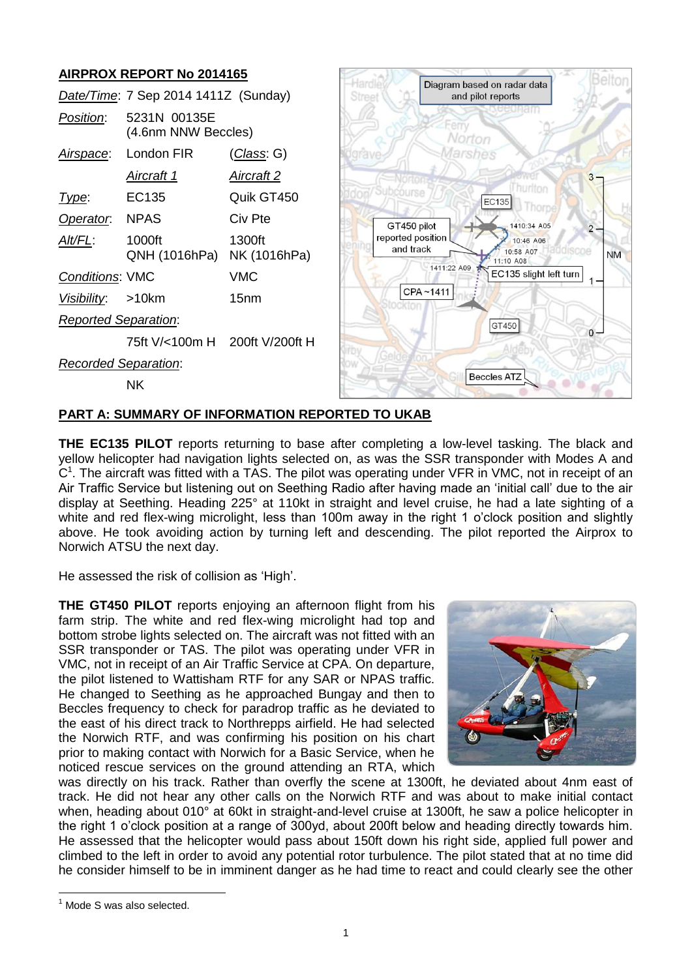## **AIRPROX REPORT No 2014165**

| AINF NUA NEFUNT NU ZUTHTUJ           |                                     |                        |                                |             |                                                  |           |
|--------------------------------------|-------------------------------------|------------------------|--------------------------------|-------------|--------------------------------------------------|-----------|
| Date/Time: 7 Sep 2014 1411Z (Sunday) |                                     |                        | Street                         |             | Diagram based on radar data<br>and pilot reports |           |
| Position:                            | 5231N 00135E<br>(4.6nm NNW Beccles) |                        |                                | Norton      |                                                  |           |
| Airspace:                            | London FIR                          | <u>(Class</u> : G)     |                                | farshes     |                                                  |           |
|                                      | <u>Aircraft 1</u>                   | <u>Aircraft 2</u>      |                                |             |                                                  | $3 -$     |
| Type:                                | EC135                               | Quik GT450             | /Subcourse                     |             | hurlton<br>EC135<br>Thorpe                       |           |
| Operator.                            | <b>NPAS</b>                         | Civ Pte                | GT450 pilot                    |             | 1410:34 A05                                      |           |
| Alt/FL:                              | 1000ft<br>QNH (1016hPa)             | 1300ft<br>NK (1016hPa) | reported position<br>and track |             | 10:46 A06<br>10:58 A07<br>iuiscoe<br>11:10 A08   | <b>NM</b> |
| <b>Conditions: VMC</b>               |                                     | <b>VMC</b>             |                                | 1411:22 A09 | EC135 slight left turn                           |           |
| Visibility:                          | >10km                               | 15 <sub>nm</sub>       |                                | CPA~1411    |                                                  |           |
| <b>Reported Separation:</b>          |                                     |                        |                                |             | GT450                                            |           |
|                                      | 75ft V/<100m H 200ft V/200ft H      |                        |                                |             |                                                  | $0 -$     |
| <b>Recorded Separation:</b>          |                                     |                        |                                |             |                                                  |           |
|                                      | <b>NK</b>                           |                        |                                |             | <b>Beccles ATZ</b>                               |           |

### **PART A: SUMMARY OF INFORMATION REPORTED TO UKAB**

**THE EC135 PILOT** reports returning to base after completing a low-level tasking. The black and yellow helicopter had navigation lights selected on, as was the SSR transponder with Modes A and  $C<sup>1</sup>$ . The aircraft was fitted with a TAS. The pilot was operating under VFR in VMC, not in receipt of an Air Traffic Service but listening out on Seething Radio after having made an 'initial call' due to the air display at Seething. Heading 225° at 110kt in straight and level cruise, he had a late sighting of a white and red flex-wing microlight, less than 100m away in the right 1 o'clock position and slightly above. He took avoiding action by turning left and descending. The pilot reported the Airprox to Norwich ATSU the next day.

He assessed the risk of collision as 'High'.

**THE GT450 PILOT** reports enjoying an afternoon flight from his farm strip. The white and red flex-wing microlight had top and bottom strobe lights selected on. The aircraft was not fitted with an SSR transponder or TAS. The pilot was operating under VFR in VMC, not in receipt of an Air Traffic Service at CPA. On departure, the pilot listened to Wattisham RTF for any SAR or NPAS traffic. He changed to Seething as he approached Bungay and then to Beccles frequency to check for paradrop traffic as he deviated to the east of his direct track to Northrepps airfield. He had selected the Norwich RTF, and was confirming his position on his chart prior to making contact with Norwich for a Basic Service, when he noticed rescue services on the ground attending an RTA, which



was directly on his track. Rather than overfly the scene at 1300ft, he deviated about 4nm east of track. He did not hear any other calls on the Norwich RTF and was about to make initial contact when, heading about 010° at 60kt in straight-and-level cruise at 1300ft, he saw a police helicopter in the right 1 o'clock position at a range of 300yd, about 200ft below and heading directly towards him. He assessed that the helicopter would pass about 150ft down his right side, applied full power and climbed to the left in order to avoid any potential rotor turbulence. The pilot stated that at no time did he consider himself to be in imminent danger as he had time to react and could clearly see the other

 $\overline{a}$ 

 $<sup>1</sup>$  Mode S was also selected.</sup>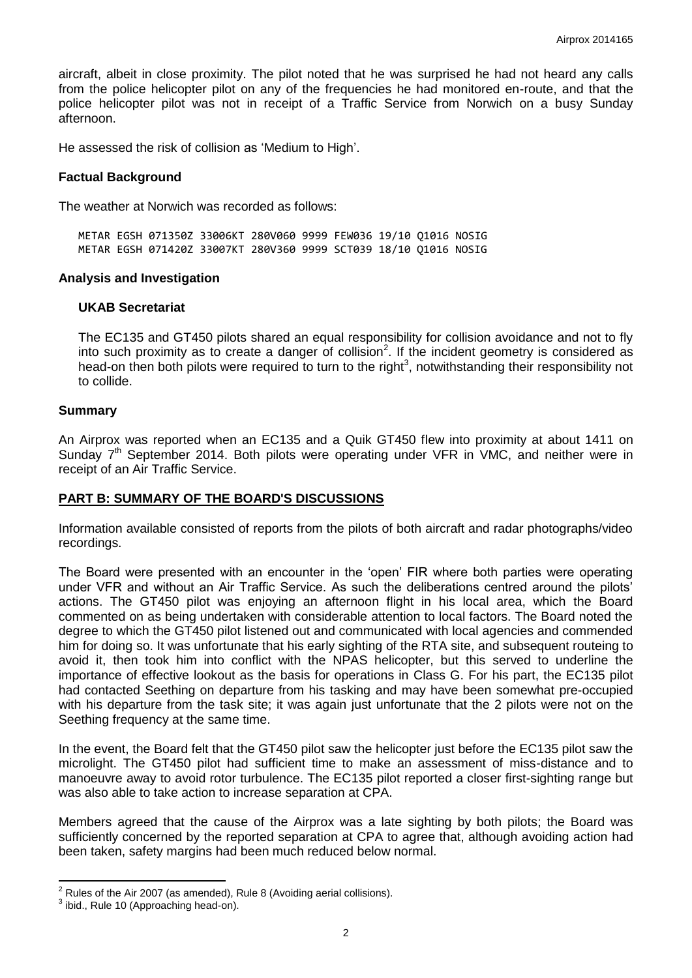aircraft, albeit in close proximity. The pilot noted that he was surprised he had not heard any calls from the police helicopter pilot on any of the frequencies he had monitored en-route, and that the police helicopter pilot was not in receipt of a Traffic Service from Norwich on a busy Sunday afternoon.

He assessed the risk of collision as 'Medium to High'.

#### **Factual Background**

The weather at Norwich was recorded as follows:

METAR EGSH 071350Z 33006KT 280V060 9999 FEW036 19/10 Q1016 NOSIG METAR EGSH 071420Z 33007KT 280V360 9999 SCT039 18/10 Q1016 NOSIG

#### **Analysis and Investigation**

#### **UKAB Secretariat**

The EC135 and GT450 pilots shared an equal responsibility for collision avoidance and not to fly into such proximity as to create a danger of collision<sup>2</sup>. If the incident geometry is considered as head-on then both pilots were required to turn to the right<sup>3</sup>, notwithstanding their responsibility not to collide.

#### **Summary**

An Airprox was reported when an EC135 and a Quik GT450 flew into proximity at about 1411 on Sunday  $7<sup>th</sup>$  September 2014. Both pilots were operating under VFR in VMC, and neither were in receipt of an Air Traffic Service.

#### **PART B: SUMMARY OF THE BOARD'S DISCUSSIONS**

Information available consisted of reports from the pilots of both aircraft and radar photographs/video recordings.

The Board were presented with an encounter in the 'open' FIR where both parties were operating under VFR and without an Air Traffic Service. As such the deliberations centred around the pilots' actions. The GT450 pilot was enjoying an afternoon flight in his local area, which the Board commented on as being undertaken with considerable attention to local factors. The Board noted the degree to which the GT450 pilot listened out and communicated with local agencies and commended him for doing so. It was unfortunate that his early sighting of the RTA site, and subsequent routeing to avoid it, then took him into conflict with the NPAS helicopter, but this served to underline the importance of effective lookout as the basis for operations in Class G. For his part, the EC135 pilot had contacted Seething on departure from his tasking and may have been somewhat pre-occupied with his departure from the task site; it was again just unfortunate that the 2 pilots were not on the Seething frequency at the same time.

In the event, the Board felt that the GT450 pilot saw the helicopter just before the EC135 pilot saw the microlight. The GT450 pilot had sufficient time to make an assessment of miss-distance and to manoeuvre away to avoid rotor turbulence. The EC135 pilot reported a closer first-sighting range but was also able to take action to increase separation at CPA.

Members agreed that the cause of the Airprox was a late sighting by both pilots; the Board was sufficiently concerned by the reported separation at CPA to agree that, although avoiding action had been taken, safety margins had been much reduced below normal.

 $\overline{\phantom{a}}$ 

 $2^2$  Rules of the Air 2007 (as amended), Rule 8 (Avoiding aerial collisions).

 $3$  ibid., Rule 10 (Approaching head-on).